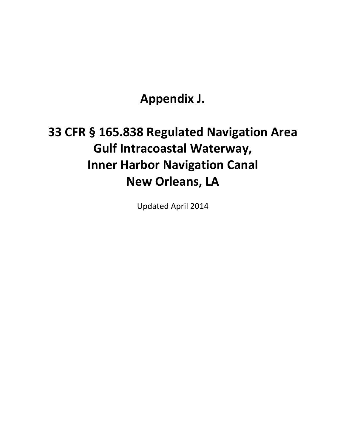**Appendix J.** 

## **33 CFR § 165.838 Regulated Navigation Area Gulf Intracoastal Waterway, Inner Harbor Navigation Canal New Orleans, LA**

Updated April 2014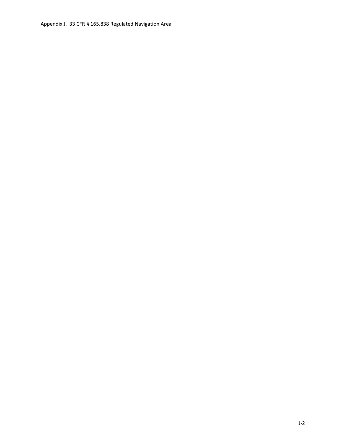Appendix J. 33 CFR § 165.838 Regulated Navigation Area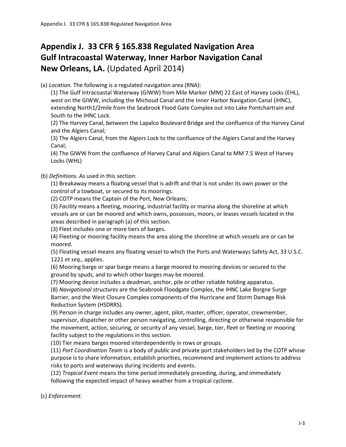## **Appendix J. 33 CFR § 165.838 Regulated Navigation Area Gulf Intracoastal Waterway, Inner Harbor Navigation Canal New Orleans, LA.** (Updated April 2014)

(a) *Location.* The following is a regulated navigation area (RNA):

(1) The Gulf Intracoastal Waterway (GIWW) from Mile Marker (MM) 22 East of Harvey Locks (EHL), west on the GIWW, including the Michoud Canal and the Inner Harbor Navigation Canal (IHNC), extending North1/2mile from the Seabrook Flood Gate Complex out into Lake Pontchartrain and South to the IHNC Lock.

(2) The Harvey Canal, between the Lapalco Boulevard Bridge and the confluence of the Harvey Canal and the Algiers Canal;

(3) The Algiers Canal, from the Algiers Lock to the confluence of the Algiers Canal and the Harvey Canal;

(4) The GIWW from the confluence of Harvey Canal and Algiers Canal to MM 7.5 West of Harvey Locks (WHL)

(b) *Definitions.* As used in this section:

(1) Breakaway means a floating vessel that is adrift and that is not under its own power or the control of a towboat, or secured to its moorings.

(2) COTP means the Captain of the Port, New Orleans;

(3) *Facility* means a fleeting, mooring, industrial facility or marina along the shoreline at which vessels are or can be moored and which owns, possesses, moors, or leases vessels located in the areas described in paragraph (a) of this section.

(3) Fleet includes one or more tiers of barges.

(4) Fleeting or mooring facility means the area along the shoreline at which vessels are or can be moored.

(5) Floating vessel means any floating vessel to which the Ports and Waterways Safety Act, 33 U.S.C. 1221 *et seq.,* applies.

(6) Mooring barge or spar barge means a barge moored to mooring devices or secured to the ground by spuds, and to which other barges may be moored.

(7) Mooring device includes a deadman, anchor, pile or other reliable holding apparatus.

(8) *Navigational structures* are the Seabrook Floodgate Complex, the IHNC Lake Borgne Surge Barrier, and the West Closure Complex components of the Hurricane and Storm Damage Risk Reduction System (HSDRRS).

(9) Person in charge includes any owner, agent, pilot, master, officer, operator, crewmember, supervisor, dispatcher or other person navigating, controlling, directing or otherwise responsible for the movement, action, securing, or security of any vessel, barge, tier, fleet or fleeting or mooring facility subject to the regulations in this section.

(10) Tier means barges moored interdependently in rows or groups.

(11) *Port Coordination Team* is a body of public and private port stakeholders led by the COTP whose purpose is to share information, establish priorities, recommend and implement actions to address risks to ports and waterways during incidents and events.

(12) *Tropical Event* means the time period immediately preceding, during, and immediately following the expected impact of heavy weather from a tropical cyclone.

(c) *Enforcement.*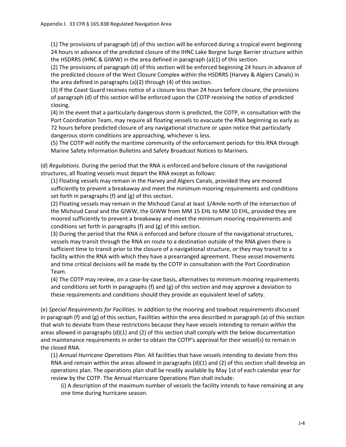(1) The provisions of paragraph (d) of this section will be enforced during a tropical event beginning 24 hours in advance of the predicted closure of the IHNC Lake Borgne Surge Barrier structure within the HSDRRS (IHNC & GIWW) in the area defined in paragraph (a)(1) of this section.

(2) The provisions of paragraph (d) of this section will be enforced beginning 24 hours in advance of the predicted closure of the West Closure Complex within the HSDRRS (Harvey & Algiers Canals) in the area defined in paragraphs (a)(2) through (4) of this section.

(3) If the Coast Guard receives notice of a closure less than 24 hours before closure, the provisions of paragraph (d) of this section will be enforced upon the COTP receiving the notice of predicted closing.

(4) In the event that a particularly dangerous storm is predicted, the COTP, in consultation with the Port Coordination Team, may require all floating vessels to evacuate the RNA beginning as early as 72 hours before predicted closure of any navigational structure or upon notice that particularly dangerous storm conditions are approaching, whichever is less.

(5) The COTP will notify the maritime community of the enforcement periods for this RNA through Marine Safety Information Bulletins and Safety Broadcast Notices to Mariners.

(d) *Regulations.* During the period that the RNA is enforced and before closure of the navigational structures, all floating vessels must depart the RNA except as follows:

(1) Floating vessels may remain in the Harvey and Algiers Canals, provided they are moored sufficiently to prevent a breakaway and meet the minimum mooring requirements and conditions set forth in paragraphs (f) and (g) of this section.

(2) Floating vessels may remain in the Michoud Canal at least 1/4mile north of the intersection of the Michoud Canal and the GIWW, the GIWW from MM 15 EHL to MM 10 EHL, provided they are moored sufficiently to prevent a breakaway and meet the minimum mooring requirements and conditions set forth in paragraphs (f) and (g) of this section.

(3) During the period that the RNA is enforced and before closure of the navigational structures, vessels may transit through the RNA en route to a destination outside of the RNA given there is sufficient time to transit prior to the closure of a navigational structure, or they may transit to a facility within the RNA with which they have a prearranged agreement. These vessel movements and time critical decisions will be made by the COTP in consultation with the Port Coordination Team.

(4) The COTP may review, on a case-by-case basis, alternatives to minimum mooring requirements and conditions set forth in paragraphs (f) and (g) of this section and may approve a deviation to these requirements and conditions should they provide an equivalent level of safety.

(e) *Special Requirements for Facilities.* In addition to the mooring and towboat requirements discussed in paragraph (f) and (g) of this section, Facilities within the area described in paragraph (a) of this section that wish to deviate from these restrictions because they have vessels intending to remain within the areas allowed in paragraphs  $(d)(1)$  and  $(2)$  of this section shall comply with the below documentation and maintenance requirements in order to obtain the COTP's approval for their vessel(s) to remain in the closed RNA.

(1) *Annual Hurricane Operations Plan.* All facilities that have vessels intending to deviate from this RNA and remain within the areas allowed in paragraphs  $(d)(1)$  and  $(2)$  of this section shall develop an operations plan. The operations plan shall be readily available by May 1st of each calendar year for review by the COTP. The Annual Hurricane Operations Plan shall include:

(i) A description of the maximum number of vessels the facility intends to have remaining at any one time during hurricane season.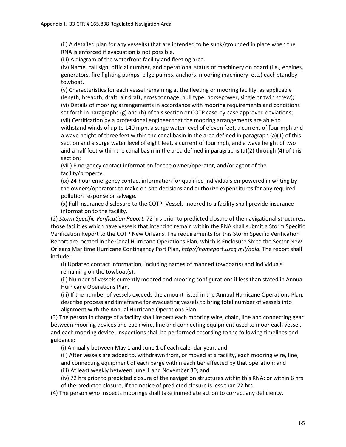(ii) A detailed plan for any vessel(s) that are intended to be sunk/grounded in place when the RNA is enforced if evacuation is not possible.

(iii) A diagram of the waterfront facility and fleeting area.

(iv) Name, call sign, official number, and operational status of machinery on board (i.e., engines, generators, fire fighting pumps, bilge pumps, anchors, mooring machinery, etc.) each standby towboat.

(v) Characteristics for each vessel remaining at the fleeting or mooring facility, as applicable (length, breadth, draft, air draft, gross tonnage, hull type, horsepower, single or twin screw); (vi) Details of mooring arrangements in accordance with mooring requirements and conditions set forth in paragraphs (g) and (h) of this section or COTP case-by-case approved deviations; (vii) Certification by a professional engineer that the mooring arrangements are able to withstand winds of up to 140 mph, a surge water level of eleven feet, a current of four mph and a wave height of three feet within the canal basin in the area defined in paragraph (a)(1) of this section and a surge water level of eight feet, a current of four mph, and a wave height of two and a half feet within the canal basin in the area defined in paragraphs (a)(2) through (4) of this section;

(viii) Emergency contact information for the owner/operator, and/or agent of the facility/property.

(ix) 24-hour emergency contact information for qualified individuals empowered in writing by the owners/operators to make on-site decisions and authorize expenditures for any required pollution response or salvage.

(x) Full insurance disclosure to the COTP. Vessels moored to a facility shall provide insurance information to the facility.

(2) *Storm Specific Verification Report.* 72 hrs prior to predicted closure of the navigational structures, those facilities which have vessels that intend to remain within the RNA shall submit a Storm Specific Verification Report to the COTP New Orleans. The requirements for this Storm Specific Verification Report are located in the Canal Hurricane Operations Plan, which is Enclosure Six to the Sector New Orleans Maritime Hurricane Contingency Port Plan, *http://homeport.uscg.mil/nola*. The report shall include:

(i) Updated contact information, including names of manned towboat(s) and individuals remaining on the towboat(s).

(ii) Number of vessels currently moored and mooring configurations if less than stated in Annual Hurricane Operations Plan.

(iii) If the number of vessels exceeds the amount listed in the Annual Hurricane Operations Plan, describe process and timeframe for evacuating vessels to bring total number of vessels into alignment with the Annual Hurricane Operations Plan.

(3) The person in charge of a facility shall inspect each mooring wire, chain, line and connecting gear between mooring devices and each wire, line and connecting equipment used to moor each vessel, and each mooring device. Inspections shall be performed according to the following timelines and guidance:

(i) Annually between May 1 and June 1 of each calendar year; and

(ii) After vessels are added to, withdrawn from, or moved at a facility, each mooring wire, line,

and connecting equipment of each barge within each tier affected by that operation; and

(iii) At least weekly between June 1 and November 30; and

(iv) 72 hrs prior to predicted closure of the navigation structures within this RNA; or within 6 hrs of the predicted closure, if the notice of predicted closure is less than 72 hrs.

(4) The person who inspects moorings shall take immediate action to correct any deficiency.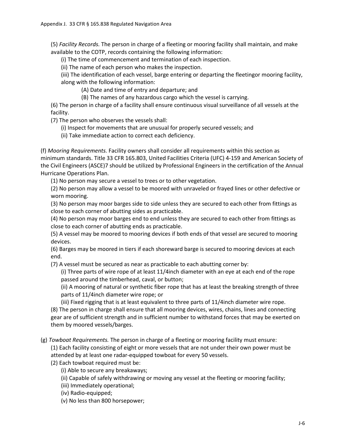(5) *Facility Records.* The person in charge of a fleeting or mooring facility shall maintain, and make available to the COTP, records containing the following information:

(i) The time of commencement and termination of each inspection.

(ii) The name of each person who makes the inspection.

(iii) The identification of each vessel, barge entering or departing the fleetingor mooring facility, along with the following information:

(A) Date and time of entry and departure; and

(B) The names of any hazardous cargo which the vessel is carrying.

(6) The person in charge of a facility shall ensure continuous visual surveillance of all vessels at the facility.

(7) The person who observes the vessels shall:

(i) Inspect for movements that are unusual for properly secured vessels; and

(ii) Take immediate action to correct each deficiency.

(f) *Mooring Requirements.* Facility owners shall consider all requirements within this section as minimum standards. Title 33 CFR 165.803, United Facilities Criteria (UFC) 4-159 and American Society of the Civil Engineers (ASCE)7 should be utilized by Professional Engineers in the certification of the Annual Hurricane Operations Plan.

(1) No person may secure a vessel to trees or to other vegetation.

(2) No person may allow a vessel to be moored with unraveled or frayed lines or other defective or worn mooring.

(3) No person may moor barges side to side unless they are secured to each other from fittings as close to each corner of abutting sides as practicable.

(4) No person may moor barges end to end unless they are secured to each other from fittings as close to each corner of abutting ends as practicable.

(5) A vessel may be moored to mooring devices if both ends of that vessel are secured to mooring devices.

(6) Barges may be moored in tiers if each shoreward barge is secured to mooring devices at each end.

(7) A vessel must be secured as near as practicable to each abutting corner by:

(i) Three parts of wire rope of at least 11/4inch diameter with an eye at each end of the rope passed around the timberhead, caval, or button;

(ii) A mooring of natural or synthetic fiber rope that has at least the breaking strength of three parts of 11/4inch diameter wire rope; or

(iii) Fixed rigging that is at least equivalent to three parts of 11/4inch diameter wire rope.

(8) The person in charge shall ensure that all mooring devices, wires, chains, lines and connecting gear are of sufficient strength and in sufficient number to withstand forces that may be exerted on them by moored vessels/barges.

(g) *Towboat Requirements.* The person in charge of a fleeting or mooring facility must ensure:

(1) Each facility consisting of eight or more vessels that are not under their own power must be attended by at least one radar-equipped towboat for every 50 vessels.

(2) Each towboat required must be:

(i) Able to secure any breakaways;

(ii) Capable of safely withdrawing or moving any vessel at the fleeting or mooring facility;

(iii) Immediately operational;

(iv) Radio-equipped;

(v) No less than 800 horsepower;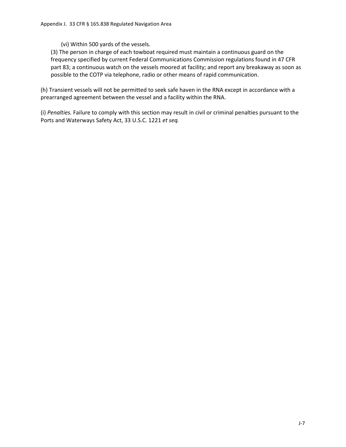(vi) Within 500 yards of the vessels.

(3) The person in charge of each towboat required must maintain a continuous guard on the frequency specified by current Federal Communications Commission regulations found in 47 CFR part 83; a continuous watch on the vessels moored at facility; and report any breakaway as soon as possible to the COTP via telephone, radio or other means of rapid communication.

(h) Transient vessels will not be permitted to seek safe haven in the RNA except in accordance with a prearranged agreement between the vessel and a facility within the RNA.

(i) *Penalties.* Failure to comply with this section may result in civil or criminal penalties pursuant to the Ports and Waterways Safety Act, 33 U.S.C. 1221 *et seq.*